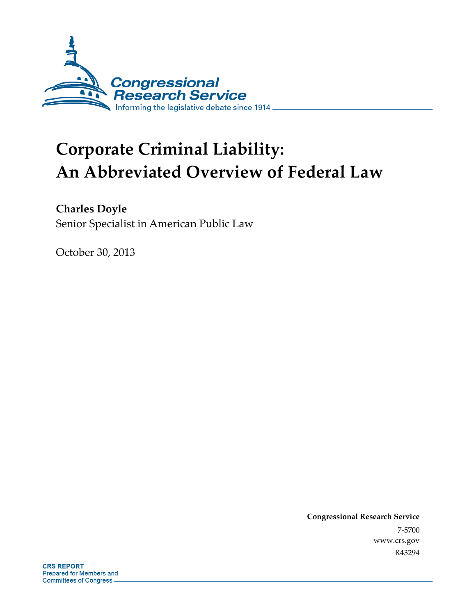

# **Corporate Criminal Liability: An Abbreviated Overview of Federal Law**

**Charles Doyle** 

Senior Specialist in American Public Law

October 30, 2013

**Congressional Research Service**  7-5700 www.crs.gov R43294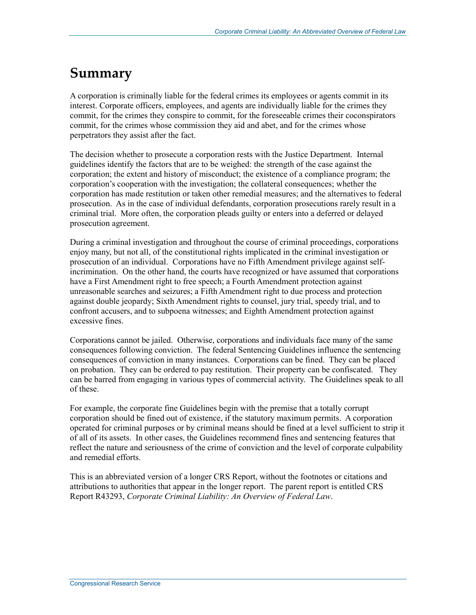### **Summary**

A corporation is criminally liable for the federal crimes its employees or agents commit in its interest. Corporate officers, employees, and agents are individually liable for the crimes they commit, for the crimes they conspire to commit, for the foreseeable crimes their coconspirators commit, for the crimes whose commission they aid and abet, and for the crimes whose perpetrators they assist after the fact.

The decision whether to prosecute a corporation rests with the Justice Department. Internal guidelines identify the factors that are to be weighed: the strength of the case against the corporation; the extent and history of misconduct; the existence of a compliance program; the corporation's cooperation with the investigation; the collateral consequences; whether the corporation has made restitution or taken other remedial measures; and the alternatives to federal prosecution. As in the case of individual defendants, corporation prosecutions rarely result in a criminal trial. More often, the corporation pleads guilty or enters into a deferred or delayed prosecution agreement.

During a criminal investigation and throughout the course of criminal proceedings, corporations enjoy many, but not all, of the constitutional rights implicated in the criminal investigation or prosecution of an individual. Corporations have no Fifth Amendment privilege against selfincrimination. On the other hand, the courts have recognized or have assumed that corporations have a First Amendment right to free speech; a Fourth Amendment protection against unreasonable searches and seizures; a Fifth Amendment right to due process and protection against double jeopardy; Sixth Amendment rights to counsel, jury trial, speedy trial, and to confront accusers, and to subpoena witnesses; and Eighth Amendment protection against excessive fines.

Corporations cannot be jailed. Otherwise, corporations and individuals face many of the same consequences following conviction. The federal Sentencing Guidelines influence the sentencing consequences of conviction in many instances. Corporations can be fined. They can be placed on probation. They can be ordered to pay restitution. Their property can be confiscated. They can be barred from engaging in various types of commercial activity. The Guidelines speak to all of these.

For example, the corporate fine Guidelines begin with the premise that a totally corrupt corporation should be fined out of existence, if the statutory maximum permits. A corporation operated for criminal purposes or by criminal means should be fined at a level sufficient to strip it of all of its assets. In other cases, the Guidelines recommend fines and sentencing features that reflect the nature and seriousness of the crime of conviction and the level of corporate culpability and remedial efforts.

This is an abbreviated version of a longer CRS Report, without the footnotes or citations and attributions to authorities that appear in the longer report. The parent report is entitled CRS Report R43293, *Corporate Criminal Liability: An Overview of Federal Law*.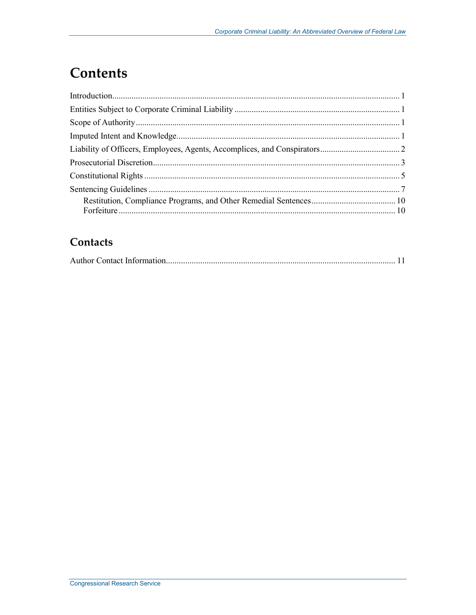## **Contents**

#### Contacts

|--|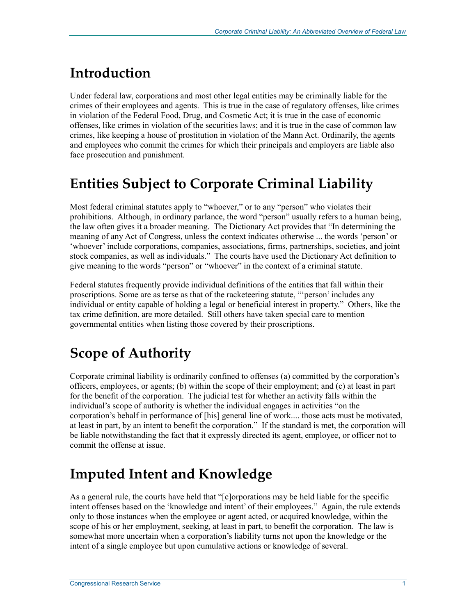## **Introduction**

Under federal law, corporations and most other legal entities may be criminally liable for the crimes of their employees and agents. This is true in the case of regulatory offenses, like crimes in violation of the Federal Food, Drug, and Cosmetic Act; it is true in the case of economic offenses, like crimes in violation of the securities laws; and it is true in the case of common law crimes, like keeping a house of prostitution in violation of the Mann Act. Ordinarily, the agents and employees who commit the crimes for which their principals and employers are liable also face prosecution and punishment.

## **Entities Subject to Corporate Criminal Liability**

Most federal criminal statutes apply to "whoever," or to any "person" who violates their prohibitions. Although, in ordinary parlance, the word "person" usually refers to a human being, the law often gives it a broader meaning. The Dictionary Act provides that "In determining the meaning of any Act of Congress, unless the context indicates otherwise ... the words 'person' or 'whoever' include corporations, companies, associations, firms, partnerships, societies, and joint stock companies, as well as individuals." The courts have used the Dictionary Act definition to give meaning to the words "person" or "whoever" in the context of a criminal statute.

Federal statutes frequently provide individual definitions of the entities that fall within their proscriptions. Some are as terse as that of the racketeering statute, "'person' includes any individual or entity capable of holding a legal or beneficial interest in property." Others, like the tax crime definition, are more detailed. Still others have taken special care to mention governmental entities when listing those covered by their proscriptions.

## **Scope of Authority**

Corporate criminal liability is ordinarily confined to offenses (a) committed by the corporation's officers, employees, or agents; (b) within the scope of their employment; and (c) at least in part for the benefit of the corporation. The judicial test for whether an activity falls within the individual's scope of authority is whether the individual engages in activities "on the corporation's behalf in performance of [his] general line of work.... those acts must be motivated, at least in part, by an intent to benefit the corporation." If the standard is met, the corporation will be liable notwithstanding the fact that it expressly directed its agent, employee, or officer not to commit the offense at issue.

## **Imputed Intent and Knowledge**

As a general rule, the courts have held that "[c]orporations may be held liable for the specific intent offenses based on the 'knowledge and intent' of their employees." Again, the rule extends only to those instances when the employee or agent acted, or acquired knowledge, within the scope of his or her employment, seeking, at least in part, to benefit the corporation. The law is somewhat more uncertain when a corporation's liability turns not upon the knowledge or the intent of a single employee but upon cumulative actions or knowledge of several.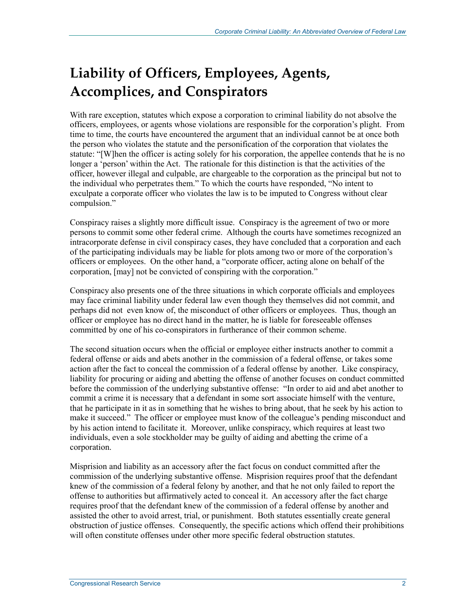## **Liability of Officers, Employees, Agents, Accomplices, and Conspirators**

With rare exception, statutes which expose a corporation to criminal liability do not absolve the officers, employees, or agents whose violations are responsible for the corporation's plight. From time to time, the courts have encountered the argument that an individual cannot be at once both the person who violates the statute and the personification of the corporation that violates the statute: "[W]hen the officer is acting solely for his corporation, the appellee contends that he is no longer a 'person' within the Act. The rationale for this distinction is that the activities of the officer, however illegal and culpable, are chargeable to the corporation as the principal but not to the individual who perpetrates them." To which the courts have responded, "No intent to exculpate a corporate officer who violates the law is to be imputed to Congress without clear compulsion."

Conspiracy raises a slightly more difficult issue. Conspiracy is the agreement of two or more persons to commit some other federal crime. Although the courts have sometimes recognized an intracorporate defense in civil conspiracy cases, they have concluded that a corporation and each of the participating individuals may be liable for plots among two or more of the corporation's officers or employees. On the other hand, a "corporate officer, acting alone on behalf of the corporation, [may] not be convicted of conspiring with the corporation."

Conspiracy also presents one of the three situations in which corporate officials and employees may face criminal liability under federal law even though they themselves did not commit, and perhaps did not even know of, the misconduct of other officers or employees. Thus, though an officer or employee has no direct hand in the matter, he is liable for foreseeable offenses committed by one of his co-conspirators in furtherance of their common scheme.

The second situation occurs when the official or employee either instructs another to commit a federal offense or aids and abets another in the commission of a federal offense, or takes some action after the fact to conceal the commission of a federal offense by another. Like conspiracy, liability for procuring or aiding and abetting the offense of another focuses on conduct committed before the commission of the underlying substantive offense: "In order to aid and abet another to commit a crime it is necessary that a defendant in some sort associate himself with the venture, that he participate in it as in something that he wishes to bring about, that he seek by his action to make it succeed." The officer or employee must know of the colleague's pending misconduct and by his action intend to facilitate it. Moreover, unlike conspiracy, which requires at least two individuals, even a sole stockholder may be guilty of aiding and abetting the crime of a corporation.

Misprision and liability as an accessory after the fact focus on conduct committed after the commission of the underlying substantive offense. Misprision requires proof that the defendant knew of the commission of a federal felony by another, and that he not only failed to report the offense to authorities but affirmatively acted to conceal it. An accessory after the fact charge requires proof that the defendant knew of the commission of a federal offense by another and assisted the other to avoid arrest, trial, or punishment. Both statutes essentially create general obstruction of justice offenses. Consequently, the specific actions which offend their prohibitions will often constitute offenses under other more specific federal obstruction statutes.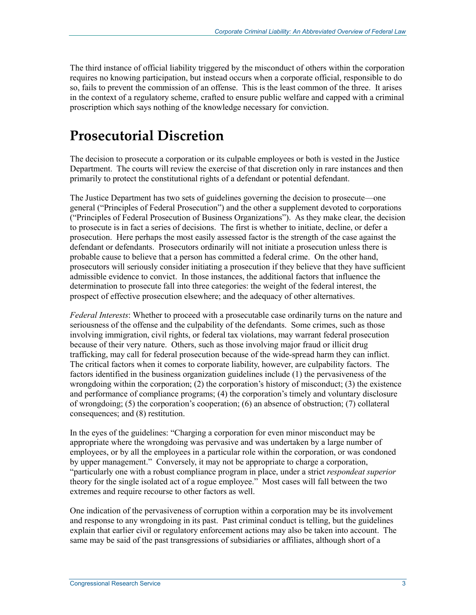The third instance of official liability triggered by the misconduct of others within the corporation requires no knowing participation, but instead occurs when a corporate official, responsible to do so, fails to prevent the commission of an offense. This is the least common of the three. It arises in the context of a regulatory scheme, crafted to ensure public welfare and capped with a criminal proscription which says nothing of the knowledge necessary for conviction.

### **Prosecutorial Discretion**

The decision to prosecute a corporation or its culpable employees or both is vested in the Justice Department. The courts will review the exercise of that discretion only in rare instances and then primarily to protect the constitutional rights of a defendant or potential defendant.

The Justice Department has two sets of guidelines governing the decision to prosecute—one general ("Principles of Federal Prosecution") and the other a supplement devoted to corporations ("Principles of Federal Prosecution of Business Organizations"). As they make clear, the decision to prosecute is in fact a series of decisions. The first is whether to initiate, decline, or defer a prosecution. Here perhaps the most easily assessed factor is the strength of the case against the defendant or defendants. Prosecutors ordinarily will not initiate a prosecution unless there is probable cause to believe that a person has committed a federal crime. On the other hand, prosecutors will seriously consider initiating a prosecution if they believe that they have sufficient admissible evidence to convict. In those instances, the additional factors that influence the determination to prosecute fall into three categories: the weight of the federal interest, the prospect of effective prosecution elsewhere; and the adequacy of other alternatives.

*Federal Interests*: Whether to proceed with a prosecutable case ordinarily turns on the nature and seriousness of the offense and the culpability of the defendants. Some crimes, such as those involving immigration, civil rights, or federal tax violations, may warrant federal prosecution because of their very nature. Others, such as those involving major fraud or illicit drug trafficking, may call for federal prosecution because of the wide-spread harm they can inflict. The critical factors when it comes to corporate liability, however, are culpability factors. The factors identified in the business organization guidelines include (1) the pervasiveness of the wrongdoing within the corporation; (2) the corporation's history of misconduct; (3) the existence and performance of compliance programs; (4) the corporation's timely and voluntary disclosure of wrongdoing; (5) the corporation's cooperation; (6) an absence of obstruction; (7) collateral consequences; and (8) restitution.

In the eyes of the guidelines: "Charging a corporation for even minor misconduct may be appropriate where the wrongdoing was pervasive and was undertaken by a large number of employees, or by all the employees in a particular role within the corporation, or was condoned by upper management." Conversely, it may not be appropriate to charge a corporation, "particularly one with a robust compliance program in place, under a strict *respondeat superior* theory for the single isolated act of a rogue employee." Most cases will fall between the two extremes and require recourse to other factors as well.

One indication of the pervasiveness of corruption within a corporation may be its involvement and response to any wrongdoing in its past. Past criminal conduct is telling, but the guidelines explain that earlier civil or regulatory enforcement actions may also be taken into account. The same may be said of the past transgressions of subsidiaries or affiliates, although short of a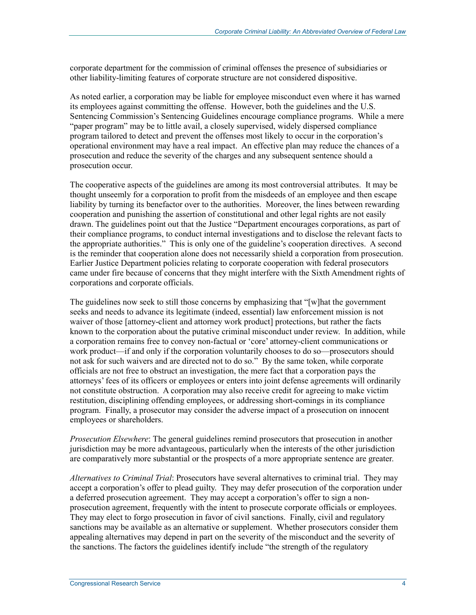corporate department for the commission of criminal offenses the presence of subsidiaries or other liability-limiting features of corporate structure are not considered dispositive.

As noted earlier, a corporation may be liable for employee misconduct even where it has warned its employees against committing the offense. However, both the guidelines and the U.S. Sentencing Commission's Sentencing Guidelines encourage compliance programs. While a mere "paper program" may be to little avail, a closely supervised, widely dispersed compliance program tailored to detect and prevent the offenses most likely to occur in the corporation's operational environment may have a real impact. An effective plan may reduce the chances of a prosecution and reduce the severity of the charges and any subsequent sentence should a prosecution occur.

The cooperative aspects of the guidelines are among its most controversial attributes. It may be thought unseemly for a corporation to profit from the misdeeds of an employee and then escape liability by turning its benefactor over to the authorities. Moreover, the lines between rewarding cooperation and punishing the assertion of constitutional and other legal rights are not easily drawn. The guidelines point out that the Justice "Department encourages corporations, as part of their compliance programs, to conduct internal investigations and to disclose the relevant facts to the appropriate authorities." This is only one of the guideline's cooperation directives. A second is the reminder that cooperation alone does not necessarily shield a corporation from prosecution. Earlier Justice Department policies relating to corporate cooperation with federal prosecutors came under fire because of concerns that they might interfere with the Sixth Amendment rights of corporations and corporate officials.

The guidelines now seek to still those concerns by emphasizing that "[w]hat the government seeks and needs to advance its legitimate (indeed, essential) law enforcement mission is not waiver of those [attorney-client and attorney work product] protections, but rather the facts known to the corporation about the putative criminal misconduct under review. In addition, while a corporation remains free to convey non-factual or 'core' attorney-client communications or work product—if and only if the corporation voluntarily chooses to do so—prosecutors should not ask for such waivers and are directed not to do so." By the same token, while corporate officials are not free to obstruct an investigation, the mere fact that a corporation pays the attorneys' fees of its officers or employees or enters into joint defense agreements will ordinarily not constitute obstruction. A corporation may also receive credit for agreeing to make victim restitution, disciplining offending employees, or addressing short-comings in its compliance program. Finally, a prosecutor may consider the adverse impact of a prosecution on innocent employees or shareholders.

*Prosecution Elsewhere*: The general guidelines remind prosecutors that prosecution in another jurisdiction may be more advantageous, particularly when the interests of the other jurisdiction are comparatively more substantial or the prospects of a more appropriate sentence are greater.

*Alternatives to Criminal Trial*: Prosecutors have several alternatives to criminal trial. They may accept a corporation's offer to plead guilty. They may defer prosecution of the corporation under a deferred prosecution agreement. They may accept a corporation's offer to sign a nonprosecution agreement, frequently with the intent to prosecute corporate officials or employees. They may elect to forgo prosecution in favor of civil sanctions. Finally, civil and regulatory sanctions may be available as an alternative or supplement. Whether prosecutors consider them appealing alternatives may depend in part on the severity of the misconduct and the severity of the sanctions. The factors the guidelines identify include "the strength of the regulatory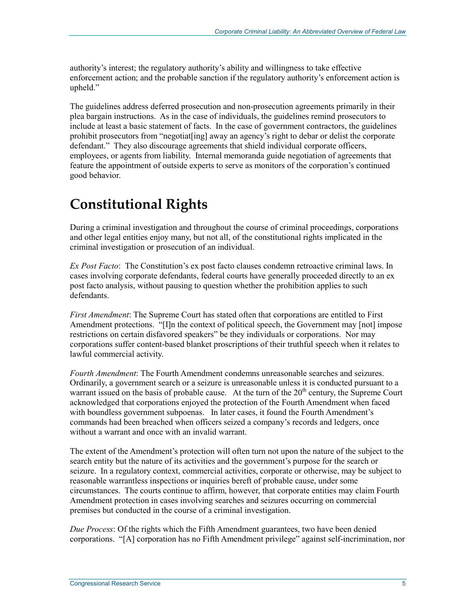authority's interest; the regulatory authority's ability and willingness to take effective enforcement action; and the probable sanction if the regulatory authority's enforcement action is upheld."

The guidelines address deferred prosecution and non-prosecution agreements primarily in their plea bargain instructions. As in the case of individuals, the guidelines remind prosecutors to include at least a basic statement of facts. In the case of government contractors, the guidelines prohibit prosecutors from "negotiat[ing] away an agency's right to debar or delist the corporate defendant." They also discourage agreements that shield individual corporate officers, employees, or agents from liability. Internal memoranda guide negotiation of agreements that feature the appointment of outside experts to serve as monitors of the corporation's continued good behavior.

## **Constitutional Rights**

During a criminal investigation and throughout the course of criminal proceedings, corporations and other legal entities enjoy many, but not all, of the constitutional rights implicated in the criminal investigation or prosecution of an individual.

*Ex Post Facto*: The Constitution's ex post facto clauses condemn retroactive criminal laws. In cases involving corporate defendants, federal courts have generally proceeded directly to an ex post facto analysis, without pausing to question whether the prohibition applies to such defendants.

*First Amendment*: The Supreme Court has stated often that corporations are entitled to First Amendment protections. "[I]n the context of political speech, the Government may [not] impose restrictions on certain disfavored speakers" be they individuals or corporations. Nor may corporations suffer content-based blanket proscriptions of their truthful speech when it relates to lawful commercial activity.

*Fourth Amendment*: The Fourth Amendment condemns unreasonable searches and seizures. Ordinarily, a government search or a seizure is unreasonable unless it is conducted pursuant to a warrant issued on the basis of probable cause. At the turn of the  $20<sup>th</sup>$  century, the Supreme Court acknowledged that corporations enjoyed the protection of the Fourth Amendment when faced with boundless government subpoenas. In later cases, it found the Fourth Amendment's commands had been breached when officers seized a company's records and ledgers, once without a warrant and once with an invalid warrant.

The extent of the Amendment's protection will often turn not upon the nature of the subject to the search entity but the nature of its activities and the government's purpose for the search or seizure. In a regulatory context, commercial activities, corporate or otherwise, may be subject to reasonable warrantless inspections or inquiries bereft of probable cause, under some circumstances. The courts continue to affirm, however, that corporate entities may claim Fourth Amendment protection in cases involving searches and seizures occurring on commercial premises but conducted in the course of a criminal investigation.

*Due Process*: Of the rights which the Fifth Amendment guarantees, two have been denied corporations. "[A] corporation has no Fifth Amendment privilege" against self-incrimination, nor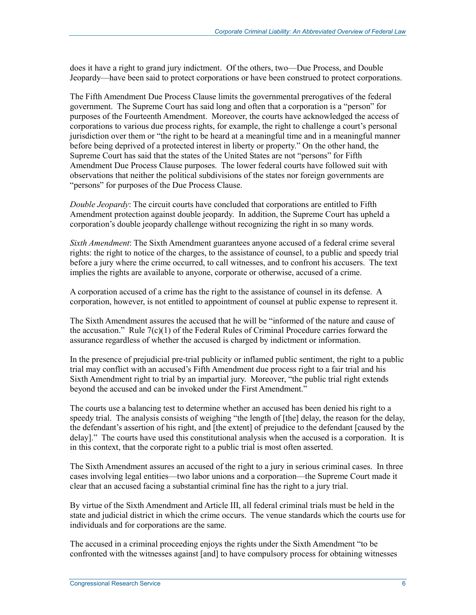does it have a right to grand jury indictment. Of the others, two—Due Process, and Double Jeopardy—have been said to protect corporations or have been construed to protect corporations.

The Fifth Amendment Due Process Clause limits the governmental prerogatives of the federal government. The Supreme Court has said long and often that a corporation is a "person" for purposes of the Fourteenth Amendment. Moreover, the courts have acknowledged the access of corporations to various due process rights, for example, the right to challenge a court's personal jurisdiction over them or "the right to be heard at a meaningful time and in a meaningful manner before being deprived of a protected interest in liberty or property." On the other hand, the Supreme Court has said that the states of the United States are not "persons" for Fifth Amendment Due Process Clause purposes. The lower federal courts have followed suit with observations that neither the political subdivisions of the states nor foreign governments are "persons" for purposes of the Due Process Clause.

*Double Jeopardy*: The circuit courts have concluded that corporations are entitled to Fifth Amendment protection against double jeopardy. In addition, the Supreme Court has upheld a corporation's double jeopardy challenge without recognizing the right in so many words.

*Sixth Amendment*: The Sixth Amendment guarantees anyone accused of a federal crime several rights: the right to notice of the charges, to the assistance of counsel, to a public and speedy trial before a jury where the crime occurred, to call witnesses, and to confront his accusers. The text implies the rights are available to anyone, corporate or otherwise, accused of a crime.

A corporation accused of a crime has the right to the assistance of counsel in its defense. A corporation, however, is not entitled to appointment of counsel at public expense to represent it.

The Sixth Amendment assures the accused that he will be "informed of the nature and cause of the accusation." Rule 7(c)(1) of the Federal Rules of Criminal Procedure carries forward the assurance regardless of whether the accused is charged by indictment or information.

In the presence of prejudicial pre-trial publicity or inflamed public sentiment, the right to a public trial may conflict with an accused's Fifth Amendment due process right to a fair trial and his Sixth Amendment right to trial by an impartial jury. Moreover, "the public trial right extends beyond the accused and can be invoked under the First Amendment."

The courts use a balancing test to determine whether an accused has been denied his right to a speedy trial. The analysis consists of weighing "the length of [the] delay, the reason for the delay, the defendant's assertion of his right, and [the extent] of prejudice to the defendant [caused by the delay]." The courts have used this constitutional analysis when the accused is a corporation. It is in this context, that the corporate right to a public trial is most often asserted.

The Sixth Amendment assures an accused of the right to a jury in serious criminal cases. In three cases involving legal entities—two labor unions and a corporation—the Supreme Court made it clear that an accused facing a substantial criminal fine has the right to a jury trial.

By virtue of the Sixth Amendment and Article III, all federal criminal trials must be held in the state and judicial district in which the crime occurs. The venue standards which the courts use for individuals and for corporations are the same.

The accused in a criminal proceeding enjoys the rights under the Sixth Amendment "to be confronted with the witnesses against [and] to have compulsory process for obtaining witnesses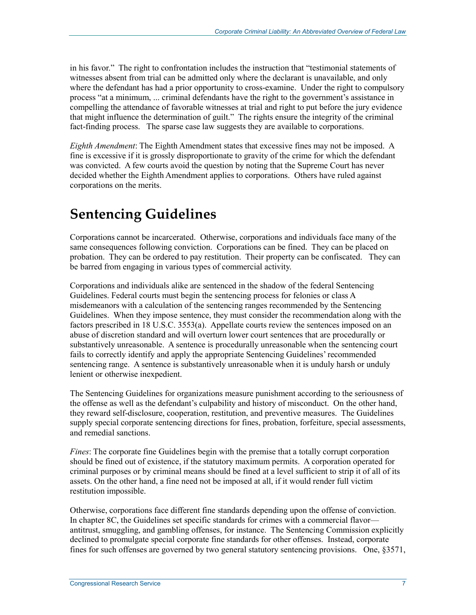in his favor." The right to confrontation includes the instruction that "testimonial statements of witnesses absent from trial can be admitted only where the declarant is unavailable, and only where the defendant has had a prior opportunity to cross-examine. Under the right to compulsory process "at a minimum, ... criminal defendants have the right to the government's assistance in compelling the attendance of favorable witnesses at trial and right to put before the jury evidence that might influence the determination of guilt." The rights ensure the integrity of the criminal fact-finding process. The sparse case law suggests they are available to corporations.

*Eighth Amendment*: The Eighth Amendment states that excessive fines may not be imposed. A fine is excessive if it is grossly disproportionate to gravity of the crime for which the defendant was convicted. A few courts avoid the question by noting that the Supreme Court has never decided whether the Eighth Amendment applies to corporations. Others have ruled against corporations on the merits.

## **Sentencing Guidelines**

Corporations cannot be incarcerated. Otherwise, corporations and individuals face many of the same consequences following conviction. Corporations can be fined. They can be placed on probation. They can be ordered to pay restitution. Their property can be confiscated. They can be barred from engaging in various types of commercial activity.

Corporations and individuals alike are sentenced in the shadow of the federal Sentencing Guidelines. Federal courts must begin the sentencing process for felonies or class A misdemeanors with a calculation of the sentencing ranges recommended by the Sentencing Guidelines. When they impose sentence, they must consider the recommendation along with the factors prescribed in 18 U.S.C. 3553(a). Appellate courts review the sentences imposed on an abuse of discretion standard and will overturn lower court sentences that are procedurally or substantively unreasonable. A sentence is procedurally unreasonable when the sentencing court fails to correctly identify and apply the appropriate Sentencing Guidelines' recommended sentencing range. A sentence is substantively unreasonable when it is unduly harsh or unduly lenient or otherwise inexpedient.

The Sentencing Guidelines for organizations measure punishment according to the seriousness of the offense as well as the defendant's culpability and history of misconduct. On the other hand, they reward self-disclosure, cooperation, restitution, and preventive measures. The Guidelines supply special corporate sentencing directions for fines, probation, forfeiture, special assessments, and remedial sanctions.

*Fines*: The corporate fine Guidelines begin with the premise that a totally corrupt corporation should be fined out of existence, if the statutory maximum permits. A corporation operated for criminal purposes or by criminal means should be fined at a level sufficient to strip it of all of its assets. On the other hand, a fine need not be imposed at all, if it would render full victim restitution impossible.

Otherwise, corporations face different fine standards depending upon the offense of conviction. In chapter 8C, the Guidelines set specific standards for crimes with a commercial flavor antitrust, smuggling, and gambling offenses, for instance. The Sentencing Commission explicitly declined to promulgate special corporate fine standards for other offenses. Instead, corporate fines for such offenses are governed by two general statutory sentencing provisions. One, §3571,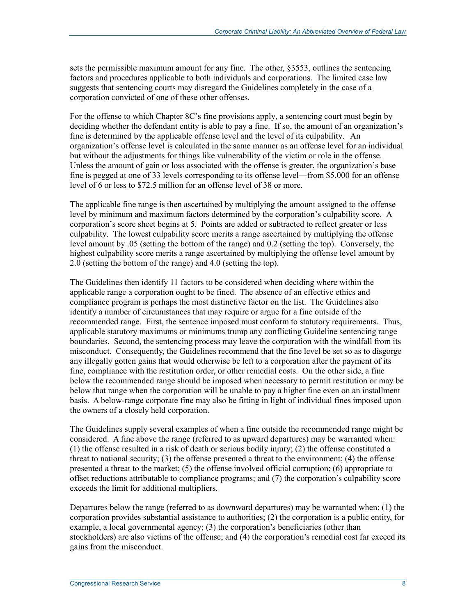sets the permissible maximum amount for any fine. The other, §3553, outlines the sentencing factors and procedures applicable to both individuals and corporations. The limited case law suggests that sentencing courts may disregard the Guidelines completely in the case of a corporation convicted of one of these other offenses.

For the offense to which Chapter 8C's fine provisions apply, a sentencing court must begin by deciding whether the defendant entity is able to pay a fine. If so, the amount of an organization's fine is determined by the applicable offense level and the level of its culpability. An organization's offense level is calculated in the same manner as an offense level for an individual but without the adjustments for things like vulnerability of the victim or role in the offense. Unless the amount of gain or loss associated with the offense is greater, the organization's base fine is pegged at one of 33 levels corresponding to its offense level—from \$5,000 for an offense level of 6 or less to \$72.5 million for an offense level of 38 or more.

The applicable fine range is then ascertained by multiplying the amount assigned to the offense level by minimum and maximum factors determined by the corporation's culpability score. A corporation's score sheet begins at 5. Points are added or subtracted to reflect greater or less culpability. The lowest culpability score merits a range ascertained by multiplying the offense level amount by .05 (setting the bottom of the range) and 0.2 (setting the top). Conversely, the highest culpability score merits a range ascertained by multiplying the offense level amount by 2.0 (setting the bottom of the range) and 4.0 (setting the top).

The Guidelines then identify 11 factors to be considered when deciding where within the applicable range a corporation ought to be fined. The absence of an effective ethics and compliance program is perhaps the most distinctive factor on the list. The Guidelines also identify a number of circumstances that may require or argue for a fine outside of the recommended range. First, the sentence imposed must conform to statutory requirements. Thus, applicable statutory maximums or minimums trump any conflicting Guideline sentencing range boundaries. Second, the sentencing process may leave the corporation with the windfall from its misconduct. Consequently, the Guidelines recommend that the fine level be set so as to disgorge any illegally gotten gains that would otherwise be left to a corporation after the payment of its fine, compliance with the restitution order, or other remedial costs. On the other side, a fine below the recommended range should be imposed when necessary to permit restitution or may be below that range when the corporation will be unable to pay a higher fine even on an installment basis. A below-range corporate fine may also be fitting in light of individual fines imposed upon the owners of a closely held corporation.

The Guidelines supply several examples of when a fine outside the recommended range might be considered. A fine above the range (referred to as upward departures) may be warranted when: (1) the offense resulted in a risk of death or serious bodily injury; (2) the offense constituted a threat to national security; (3) the offense presented a threat to the environment; (4) the offense presented a threat to the market; (5) the offense involved official corruption; (6) appropriate to offset reductions attributable to compliance programs; and (7) the corporation's culpability score exceeds the limit for additional multipliers.

Departures below the range (referred to as downward departures) may be warranted when: (1) the corporation provides substantial assistance to authorities; (2) the corporation is a public entity, for example, a local governmental agency; (3) the corporation's beneficiaries (other than stockholders) are also victims of the offense; and (4) the corporation's remedial cost far exceed its gains from the misconduct.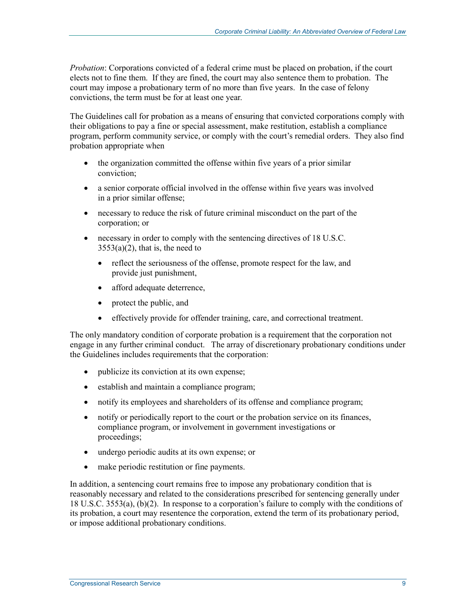*Probation*: Corporations convicted of a federal crime must be placed on probation, if the court elects not to fine them. If they are fined, the court may also sentence them to probation. The court may impose a probationary term of no more than five years. In the case of felony convictions, the term must be for at least one year.

The Guidelines call for probation as a means of ensuring that convicted corporations comply with their obligations to pay a fine or special assessment, make restitution, establish a compliance program, perform community service, or comply with the court's remedial orders. They also find probation appropriate when

- the organization committed the offense within five years of a prior similar conviction;
- a senior corporate official involved in the offense within five years was involved in a prior similar offense;
- necessary to reduce the risk of future criminal misconduct on the part of the corporation; or
- necessary in order to comply with the sentencing directives of 18 U.S.C.  $3553(a)(2)$ , that is, the need to
	- reflect the seriousness of the offense, promote respect for the law, and provide just punishment,
	- afford adequate deterrence,
	- protect the public, and
	- effectively provide for offender training, care, and correctional treatment.

The only mandatory condition of corporate probation is a requirement that the corporation not engage in any further criminal conduct. The array of discretionary probationary conditions under the Guidelines includes requirements that the corporation:

- publicize its conviction at its own expense;
- establish and maintain a compliance program;
- notify its employees and shareholders of its offense and compliance program;
- notify or periodically report to the court or the probation service on its finances, compliance program, or involvement in government investigations or proceedings;
- undergo periodic audits at its own expense; or
- make periodic restitution or fine payments.

In addition, a sentencing court remains free to impose any probationary condition that is reasonably necessary and related to the considerations prescribed for sentencing generally under 18 U.S.C. 3553(a), (b)(2). In response to a corporation's failure to comply with the conditions of its probation, a court may resentence the corporation, extend the term of its probationary period, or impose additional probationary conditions.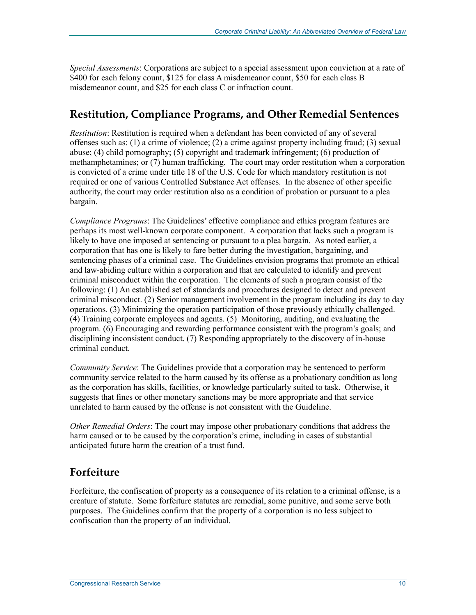*Special Assessments*: Corporations are subject to a special assessment upon conviction at a rate of \$400 for each felony count, \$125 for class A misdemeanor count, \$50 for each class B misdemeanor count, and \$25 for each class C or infraction count.

#### **Restitution, Compliance Programs, and Other Remedial Sentences**

*Restitution*: Restitution is required when a defendant has been convicted of any of several offenses such as: (1) a crime of violence; (2) a crime against property including fraud; (3) sexual abuse; (4) child pornography; (5) copyright and trademark infringement; (6) production of methamphetamines; or (7) human trafficking. The court may order restitution when a corporation is convicted of a crime under title 18 of the U.S. Code for which mandatory restitution is not required or one of various Controlled Substance Act offenses. In the absence of other specific authority, the court may order restitution also as a condition of probation or pursuant to a plea bargain.

*Compliance Programs*: The Guidelines' effective compliance and ethics program features are perhaps its most well-known corporate component. A corporation that lacks such a program is likely to have one imposed at sentencing or pursuant to a plea bargain. As noted earlier, a corporation that has one is likely to fare better during the investigation, bargaining, and sentencing phases of a criminal case. The Guidelines envision programs that promote an ethical and law-abiding culture within a corporation and that are calculated to identify and prevent criminal misconduct within the corporation. The elements of such a program consist of the following: (1) An established set of standards and procedures designed to detect and prevent criminal misconduct. (2) Senior management involvement in the program including its day to day operations. (3) Minimizing the operation participation of those previously ethically challenged. (4) Training corporate employees and agents. (5) Monitoring, auditing, and evaluating the program. (6) Encouraging and rewarding performance consistent with the program's goals; and disciplining inconsistent conduct. (7) Responding appropriately to the discovery of in-house criminal conduct.

*Community Service*: The Guidelines provide that a corporation may be sentenced to perform community service related to the harm caused by its offense as a probationary condition as long as the corporation has skills, facilities, or knowledge particularly suited to task. Otherwise, it suggests that fines or other monetary sanctions may be more appropriate and that service unrelated to harm caused by the offense is not consistent with the Guideline.

*Other Remedial Orders*: The court may impose other probationary conditions that address the harm caused or to be caused by the corporation's crime, including in cases of substantial anticipated future harm the creation of a trust fund.

#### **Forfeiture**

Forfeiture, the confiscation of property as a consequence of its relation to a criminal offense, is a creature of statute. Some forfeiture statutes are remedial, some punitive, and some serve both purposes. The Guidelines confirm that the property of a corporation is no less subject to confiscation than the property of an individual.